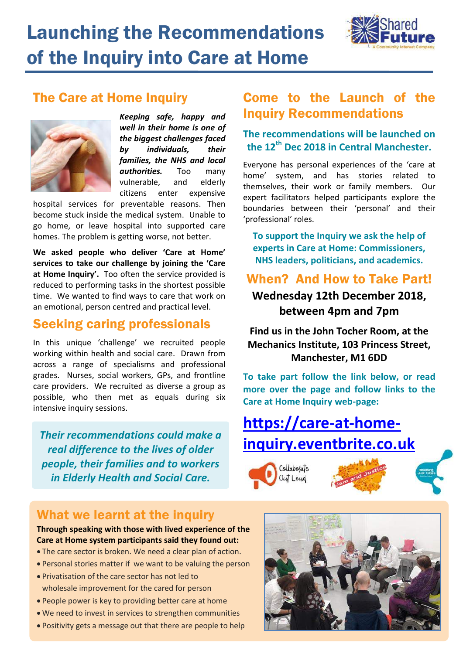# Launching the Recommendations of the Inquiry into Care at Home



## The Care at Home Inquiry



*Keeping safe, happy and well in their home is one of the biggest challenges faced by individuals, their families, the NHS and local authorities.* Too many vulnerable, and elderly citizens enter expensive

hospital services for preventable reasons. Then become stuck inside the medical system. Unable to go home, or leave hospital into supported care homes. The problem is getting worse, not better.

**We asked people who deliver 'Care at Home' services to take our challenge by joining the 'Care at Home Inquiry'.** Too often the service provided is reduced to performing tasks in the shortest possible time. We wanted to find ways to care that work on an emotional, person centred and practical level.

## Seeking caring professionals

In this unique 'challenge' we recruited people working within health and social care. Drawn from across a range of specialisms and professional grades. Nurses, social workers, GPs, and frontline care providers. We recruited as diverse a group as possible, who then met as equals during six intensive inquiry sessions.

*Their recommendations could make a real difference to the lives of older people, their families and to workers in Elderly Health and Social Care.*

# **Wednesday 12th December 2018,**

#### **between 4pm and 7pm**

**Find us in the John Tocher Room, at the Mechanics Institute, 103 Princess Street, Manchester, M1 6DD**

**To take part follow the link below, or read more over the page and follow links to the Care at Home Inquiry web-page:**

**[https://care-at-home](https://care-at-home-inquiry.eventbrite.co.uk/)[inquiry.eventbrite.co.uk](https://care-at-home-inquiry.eventbrite.co.uk/)**

> Collabosate Out Loug

## What we learnt at the inquiry

**Through speaking with those with lived experience of the Care at Home system participants said they found out:**

- The care sector is broken. We need a clear plan of action.
- Personal stories matter if we want to be valuing the person
- Privatisation of the care sector has not led to wholesale improvement for the cared for person
- People power is key to providing better care at home
- We need to invest in services to strengthen communities
- Positivity gets a message out that there are people to help



# Come to the Launch of the Inquiry Recommendations

#### **The recommendations will be launched on the 12th Dec 2018 in Central Manchester.**

Everyone has personal experiences of the 'care at home' system, and has stories related to themselves, their work or family members. Our expert facilitators helped participants explore the boundaries between their 'personal' and their 'professional' roles.

**To support the Inquiry we ask the help of experts in Care at Home: Commissioners, NHS leaders, politicians, and academics.**

When? And How to Take Part!